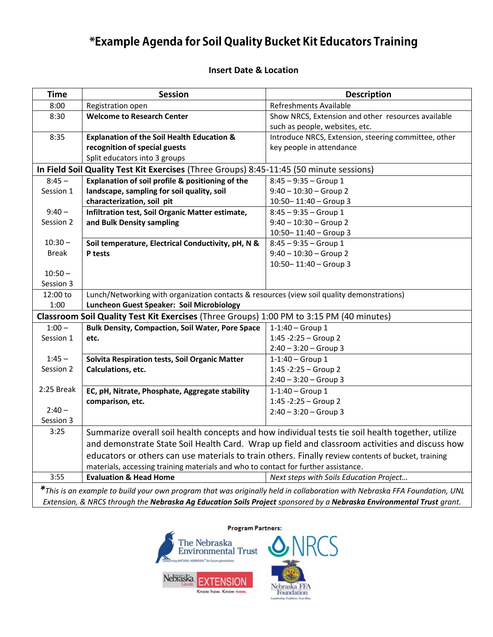# \*Example Agenda for Soil Quality Bucket Kit Educators Training

#### **Insert Date & Location**

| 8:00<br><b>Refreshments Available</b><br>Registration open<br><b>Welcome to Research Center</b><br>8:30<br>Show NRCS, Extension and other resources available<br>such as people, websites, etc.<br>8:35<br><b>Explanation of the Soil Health Education &amp;</b><br>Introduce NRCS, Extension, steering committee, other<br>recognition of special guests<br>key people in attendance<br>Split educators into 3 groups<br>In Field Soil Quality Test Kit Exercises (Three Groups) 8:45-11:45 (50 minute sessions)<br>Explanation of soil profile & positioning of the<br>$8:45 -$<br>$8:45 - 9:35 - Group 1$<br>landscape, sampling for soil quality, soil<br>$9:40 - 10:30 - Group 2$<br>Session 1<br>characterization, soil pit<br>$10:50 - 11:40 - Group 3$<br>$9:40 -$<br>Infiltration test, Soil Organic Matter estimate,<br>$8:45 - 9:35 - Group 1$<br>Session 2<br>and Bulk Density sampling<br>$9:40 - 10:30 - Group 2$<br>10:50-11:40 - Group 3<br>$10:30 -$<br>Soil temperature, Electrical Conductivity, pH, N &<br>$8:45 - 9:35 - Group 1$<br><b>Break</b><br>$9:40 - 10:30 - Group 2$<br>P tests<br>$10:50 - 11:40 - Group 3$<br>$10:50 -$<br>Session 3<br>Lunch/Networking with organization contacts & resources (view soil quality demonstrations)<br>12:00 to<br>Luncheon Guest Speaker: Soil Microbiology<br>1:00<br>Classroom Soil Quality Test Kit Exercises (Three Groups) 1:00 PM to 3:15 PM (40 minutes)<br>$1:00 -$<br><b>Bulk Density, Compaction, Soil Water, Pore Space</b><br>$1 - 1:40 - Group 1$<br>$1:45 - 2:25 - Group 2$<br>Session 1<br>etc.<br>$2:40 - 3:20 - Group 3$<br>$1:45 -$<br>Solvita Respiration tests, Soil Organic Matter<br>$1 - 1:40 - Group 1$<br>Session 2<br>Calculations, etc.<br>$1:45 - 2:25 - Group 2$<br>$2:40 - 3:20 - Group 3$<br>2:25 Break<br>EC, pH, Nitrate, Phosphate, Aggregate stability<br>$1 - 1:40 - Group 1$<br>$1:45 - 2:25 - Group 2$<br>comparison, etc.<br>$2:40 -$<br>$2:40 - 3:20 - Group 3$<br>Session 3<br>3:25<br>Summarize overall soil health concepts and how individual tests tie soil health together, utilize<br>and demonstrate State Soil Health Card. Wrap up field and classroom activities and discuss how<br>educators or others can use materials to train others. Finally review contents of bucket, training | <b>Time</b> | <b>Session</b>                                                                     | <b>Description</b> |  |
|-----------------------------------------------------------------------------------------------------------------------------------------------------------------------------------------------------------------------------------------------------------------------------------------------------------------------------------------------------------------------------------------------------------------------------------------------------------------------------------------------------------------------------------------------------------------------------------------------------------------------------------------------------------------------------------------------------------------------------------------------------------------------------------------------------------------------------------------------------------------------------------------------------------------------------------------------------------------------------------------------------------------------------------------------------------------------------------------------------------------------------------------------------------------------------------------------------------------------------------------------------------------------------------------------------------------------------------------------------------------------------------------------------------------------------------------------------------------------------------------------------------------------------------------------------------------------------------------------------------------------------------------------------------------------------------------------------------------------------------------------------------------------------------------------------------------------------------------------------------------------------------------------------------------------------------------------------------------------------------------------------------------------------------------------------------------------------------------------------------------------------------------------------------------------------------------------------------------------------------------------------------------------------------------------------------|-------------|------------------------------------------------------------------------------------|--------------------|--|
|                                                                                                                                                                                                                                                                                                                                                                                                                                                                                                                                                                                                                                                                                                                                                                                                                                                                                                                                                                                                                                                                                                                                                                                                                                                                                                                                                                                                                                                                                                                                                                                                                                                                                                                                                                                                                                                                                                                                                                                                                                                                                                                                                                                                                                                                                                           |             |                                                                                    |                    |  |
|                                                                                                                                                                                                                                                                                                                                                                                                                                                                                                                                                                                                                                                                                                                                                                                                                                                                                                                                                                                                                                                                                                                                                                                                                                                                                                                                                                                                                                                                                                                                                                                                                                                                                                                                                                                                                                                                                                                                                                                                                                                                                                                                                                                                                                                                                                           |             |                                                                                    |                    |  |
|                                                                                                                                                                                                                                                                                                                                                                                                                                                                                                                                                                                                                                                                                                                                                                                                                                                                                                                                                                                                                                                                                                                                                                                                                                                                                                                                                                                                                                                                                                                                                                                                                                                                                                                                                                                                                                                                                                                                                                                                                                                                                                                                                                                                                                                                                                           |             |                                                                                    |                    |  |
|                                                                                                                                                                                                                                                                                                                                                                                                                                                                                                                                                                                                                                                                                                                                                                                                                                                                                                                                                                                                                                                                                                                                                                                                                                                                                                                                                                                                                                                                                                                                                                                                                                                                                                                                                                                                                                                                                                                                                                                                                                                                                                                                                                                                                                                                                                           |             |                                                                                    |                    |  |
|                                                                                                                                                                                                                                                                                                                                                                                                                                                                                                                                                                                                                                                                                                                                                                                                                                                                                                                                                                                                                                                                                                                                                                                                                                                                                                                                                                                                                                                                                                                                                                                                                                                                                                                                                                                                                                                                                                                                                                                                                                                                                                                                                                                                                                                                                                           |             |                                                                                    |                    |  |
|                                                                                                                                                                                                                                                                                                                                                                                                                                                                                                                                                                                                                                                                                                                                                                                                                                                                                                                                                                                                                                                                                                                                                                                                                                                                                                                                                                                                                                                                                                                                                                                                                                                                                                                                                                                                                                                                                                                                                                                                                                                                                                                                                                                                                                                                                                           |             |                                                                                    |                    |  |
|                                                                                                                                                                                                                                                                                                                                                                                                                                                                                                                                                                                                                                                                                                                                                                                                                                                                                                                                                                                                                                                                                                                                                                                                                                                                                                                                                                                                                                                                                                                                                                                                                                                                                                                                                                                                                                                                                                                                                                                                                                                                                                                                                                                                                                                                                                           |             |                                                                                    |                    |  |
|                                                                                                                                                                                                                                                                                                                                                                                                                                                                                                                                                                                                                                                                                                                                                                                                                                                                                                                                                                                                                                                                                                                                                                                                                                                                                                                                                                                                                                                                                                                                                                                                                                                                                                                                                                                                                                                                                                                                                                                                                                                                                                                                                                                                                                                                                                           |             |                                                                                    |                    |  |
|                                                                                                                                                                                                                                                                                                                                                                                                                                                                                                                                                                                                                                                                                                                                                                                                                                                                                                                                                                                                                                                                                                                                                                                                                                                                                                                                                                                                                                                                                                                                                                                                                                                                                                                                                                                                                                                                                                                                                                                                                                                                                                                                                                                                                                                                                                           |             |                                                                                    |                    |  |
|                                                                                                                                                                                                                                                                                                                                                                                                                                                                                                                                                                                                                                                                                                                                                                                                                                                                                                                                                                                                                                                                                                                                                                                                                                                                                                                                                                                                                                                                                                                                                                                                                                                                                                                                                                                                                                                                                                                                                                                                                                                                                                                                                                                                                                                                                                           |             |                                                                                    |                    |  |
|                                                                                                                                                                                                                                                                                                                                                                                                                                                                                                                                                                                                                                                                                                                                                                                                                                                                                                                                                                                                                                                                                                                                                                                                                                                                                                                                                                                                                                                                                                                                                                                                                                                                                                                                                                                                                                                                                                                                                                                                                                                                                                                                                                                                                                                                                                           |             |                                                                                    |                    |  |
|                                                                                                                                                                                                                                                                                                                                                                                                                                                                                                                                                                                                                                                                                                                                                                                                                                                                                                                                                                                                                                                                                                                                                                                                                                                                                                                                                                                                                                                                                                                                                                                                                                                                                                                                                                                                                                                                                                                                                                                                                                                                                                                                                                                                                                                                                                           |             |                                                                                    |                    |  |
|                                                                                                                                                                                                                                                                                                                                                                                                                                                                                                                                                                                                                                                                                                                                                                                                                                                                                                                                                                                                                                                                                                                                                                                                                                                                                                                                                                                                                                                                                                                                                                                                                                                                                                                                                                                                                                                                                                                                                                                                                                                                                                                                                                                                                                                                                                           |             |                                                                                    |                    |  |
|                                                                                                                                                                                                                                                                                                                                                                                                                                                                                                                                                                                                                                                                                                                                                                                                                                                                                                                                                                                                                                                                                                                                                                                                                                                                                                                                                                                                                                                                                                                                                                                                                                                                                                                                                                                                                                                                                                                                                                                                                                                                                                                                                                                                                                                                                                           |             |                                                                                    |                    |  |
|                                                                                                                                                                                                                                                                                                                                                                                                                                                                                                                                                                                                                                                                                                                                                                                                                                                                                                                                                                                                                                                                                                                                                                                                                                                                                                                                                                                                                                                                                                                                                                                                                                                                                                                                                                                                                                                                                                                                                                                                                                                                                                                                                                                                                                                                                                           |             |                                                                                    |                    |  |
|                                                                                                                                                                                                                                                                                                                                                                                                                                                                                                                                                                                                                                                                                                                                                                                                                                                                                                                                                                                                                                                                                                                                                                                                                                                                                                                                                                                                                                                                                                                                                                                                                                                                                                                                                                                                                                                                                                                                                                                                                                                                                                                                                                                                                                                                                                           |             |                                                                                    |                    |  |
|                                                                                                                                                                                                                                                                                                                                                                                                                                                                                                                                                                                                                                                                                                                                                                                                                                                                                                                                                                                                                                                                                                                                                                                                                                                                                                                                                                                                                                                                                                                                                                                                                                                                                                                                                                                                                                                                                                                                                                                                                                                                                                                                                                                                                                                                                                           |             |                                                                                    |                    |  |
|                                                                                                                                                                                                                                                                                                                                                                                                                                                                                                                                                                                                                                                                                                                                                                                                                                                                                                                                                                                                                                                                                                                                                                                                                                                                                                                                                                                                                                                                                                                                                                                                                                                                                                                                                                                                                                                                                                                                                                                                                                                                                                                                                                                                                                                                                                           |             |                                                                                    |                    |  |
|                                                                                                                                                                                                                                                                                                                                                                                                                                                                                                                                                                                                                                                                                                                                                                                                                                                                                                                                                                                                                                                                                                                                                                                                                                                                                                                                                                                                                                                                                                                                                                                                                                                                                                                                                                                                                                                                                                                                                                                                                                                                                                                                                                                                                                                                                                           |             |                                                                                    |                    |  |
|                                                                                                                                                                                                                                                                                                                                                                                                                                                                                                                                                                                                                                                                                                                                                                                                                                                                                                                                                                                                                                                                                                                                                                                                                                                                                                                                                                                                                                                                                                                                                                                                                                                                                                                                                                                                                                                                                                                                                                                                                                                                                                                                                                                                                                                                                                           |             |                                                                                    |                    |  |
|                                                                                                                                                                                                                                                                                                                                                                                                                                                                                                                                                                                                                                                                                                                                                                                                                                                                                                                                                                                                                                                                                                                                                                                                                                                                                                                                                                                                                                                                                                                                                                                                                                                                                                                                                                                                                                                                                                                                                                                                                                                                                                                                                                                                                                                                                                           |             |                                                                                    |                    |  |
|                                                                                                                                                                                                                                                                                                                                                                                                                                                                                                                                                                                                                                                                                                                                                                                                                                                                                                                                                                                                                                                                                                                                                                                                                                                                                                                                                                                                                                                                                                                                                                                                                                                                                                                                                                                                                                                                                                                                                                                                                                                                                                                                                                                                                                                                                                           |             |                                                                                    |                    |  |
|                                                                                                                                                                                                                                                                                                                                                                                                                                                                                                                                                                                                                                                                                                                                                                                                                                                                                                                                                                                                                                                                                                                                                                                                                                                                                                                                                                                                                                                                                                                                                                                                                                                                                                                                                                                                                                                                                                                                                                                                                                                                                                                                                                                                                                                                                                           |             |                                                                                    |                    |  |
|                                                                                                                                                                                                                                                                                                                                                                                                                                                                                                                                                                                                                                                                                                                                                                                                                                                                                                                                                                                                                                                                                                                                                                                                                                                                                                                                                                                                                                                                                                                                                                                                                                                                                                                                                                                                                                                                                                                                                                                                                                                                                                                                                                                                                                                                                                           |             |                                                                                    |                    |  |
|                                                                                                                                                                                                                                                                                                                                                                                                                                                                                                                                                                                                                                                                                                                                                                                                                                                                                                                                                                                                                                                                                                                                                                                                                                                                                                                                                                                                                                                                                                                                                                                                                                                                                                                                                                                                                                                                                                                                                                                                                                                                                                                                                                                                                                                                                                           |             |                                                                                    |                    |  |
|                                                                                                                                                                                                                                                                                                                                                                                                                                                                                                                                                                                                                                                                                                                                                                                                                                                                                                                                                                                                                                                                                                                                                                                                                                                                                                                                                                                                                                                                                                                                                                                                                                                                                                                                                                                                                                                                                                                                                                                                                                                                                                                                                                                                                                                                                                           |             |                                                                                    |                    |  |
|                                                                                                                                                                                                                                                                                                                                                                                                                                                                                                                                                                                                                                                                                                                                                                                                                                                                                                                                                                                                                                                                                                                                                                                                                                                                                                                                                                                                                                                                                                                                                                                                                                                                                                                                                                                                                                                                                                                                                                                                                                                                                                                                                                                                                                                                                                           |             |                                                                                    |                    |  |
|                                                                                                                                                                                                                                                                                                                                                                                                                                                                                                                                                                                                                                                                                                                                                                                                                                                                                                                                                                                                                                                                                                                                                                                                                                                                                                                                                                                                                                                                                                                                                                                                                                                                                                                                                                                                                                                                                                                                                                                                                                                                                                                                                                                                                                                                                                           |             |                                                                                    |                    |  |
|                                                                                                                                                                                                                                                                                                                                                                                                                                                                                                                                                                                                                                                                                                                                                                                                                                                                                                                                                                                                                                                                                                                                                                                                                                                                                                                                                                                                                                                                                                                                                                                                                                                                                                                                                                                                                                                                                                                                                                                                                                                                                                                                                                                                                                                                                                           |             |                                                                                    |                    |  |
|                                                                                                                                                                                                                                                                                                                                                                                                                                                                                                                                                                                                                                                                                                                                                                                                                                                                                                                                                                                                                                                                                                                                                                                                                                                                                                                                                                                                                                                                                                                                                                                                                                                                                                                                                                                                                                                                                                                                                                                                                                                                                                                                                                                                                                                                                                           |             |                                                                                    |                    |  |
|                                                                                                                                                                                                                                                                                                                                                                                                                                                                                                                                                                                                                                                                                                                                                                                                                                                                                                                                                                                                                                                                                                                                                                                                                                                                                                                                                                                                                                                                                                                                                                                                                                                                                                                                                                                                                                                                                                                                                                                                                                                                                                                                                                                                                                                                                                           |             |                                                                                    |                    |  |
|                                                                                                                                                                                                                                                                                                                                                                                                                                                                                                                                                                                                                                                                                                                                                                                                                                                                                                                                                                                                                                                                                                                                                                                                                                                                                                                                                                                                                                                                                                                                                                                                                                                                                                                                                                                                                                                                                                                                                                                                                                                                                                                                                                                                                                                                                                           |             |                                                                                    |                    |  |
|                                                                                                                                                                                                                                                                                                                                                                                                                                                                                                                                                                                                                                                                                                                                                                                                                                                                                                                                                                                                                                                                                                                                                                                                                                                                                                                                                                                                                                                                                                                                                                                                                                                                                                                                                                                                                                                                                                                                                                                                                                                                                                                                                                                                                                                                                                           |             |                                                                                    |                    |  |
|                                                                                                                                                                                                                                                                                                                                                                                                                                                                                                                                                                                                                                                                                                                                                                                                                                                                                                                                                                                                                                                                                                                                                                                                                                                                                                                                                                                                                                                                                                                                                                                                                                                                                                                                                                                                                                                                                                                                                                                                                                                                                                                                                                                                                                                                                                           |             |                                                                                    |                    |  |
|                                                                                                                                                                                                                                                                                                                                                                                                                                                                                                                                                                                                                                                                                                                                                                                                                                                                                                                                                                                                                                                                                                                                                                                                                                                                                                                                                                                                                                                                                                                                                                                                                                                                                                                                                                                                                                                                                                                                                                                                                                                                                                                                                                                                                                                                                                           |             | materials, accessing training materials and who to contact for further assistance. |                    |  |
| 3:55<br><b>Evaluation &amp; Head Home</b><br>Next steps with Soils Education Project                                                                                                                                                                                                                                                                                                                                                                                                                                                                                                                                                                                                                                                                                                                                                                                                                                                                                                                                                                                                                                                                                                                                                                                                                                                                                                                                                                                                                                                                                                                                                                                                                                                                                                                                                                                                                                                                                                                                                                                                                                                                                                                                                                                                                      |             |                                                                                    |                    |  |
| *This is an example to build your own program that was originally held in collaboration with Nebraska FFA Foundation, UNL                                                                                                                                                                                                                                                                                                                                                                                                                                                                                                                                                                                                                                                                                                                                                                                                                                                                                                                                                                                                                                                                                                                                                                                                                                                                                                                                                                                                                                                                                                                                                                                                                                                                                                                                                                                                                                                                                                                                                                                                                                                                                                                                                                                 |             |                                                                                    |                    |  |
| Extension, & NRCS through the Nebraska Ag Education Soils Project sponsored by a Nebraska Environmental Trust grant.                                                                                                                                                                                                                                                                                                                                                                                                                                                                                                                                                                                                                                                                                                                                                                                                                                                                                                                                                                                                                                                                                                                                                                                                                                                                                                                                                                                                                                                                                                                                                                                                                                                                                                                                                                                                                                                                                                                                                                                                                                                                                                                                                                                      |             |                                                                                    |                    |  |